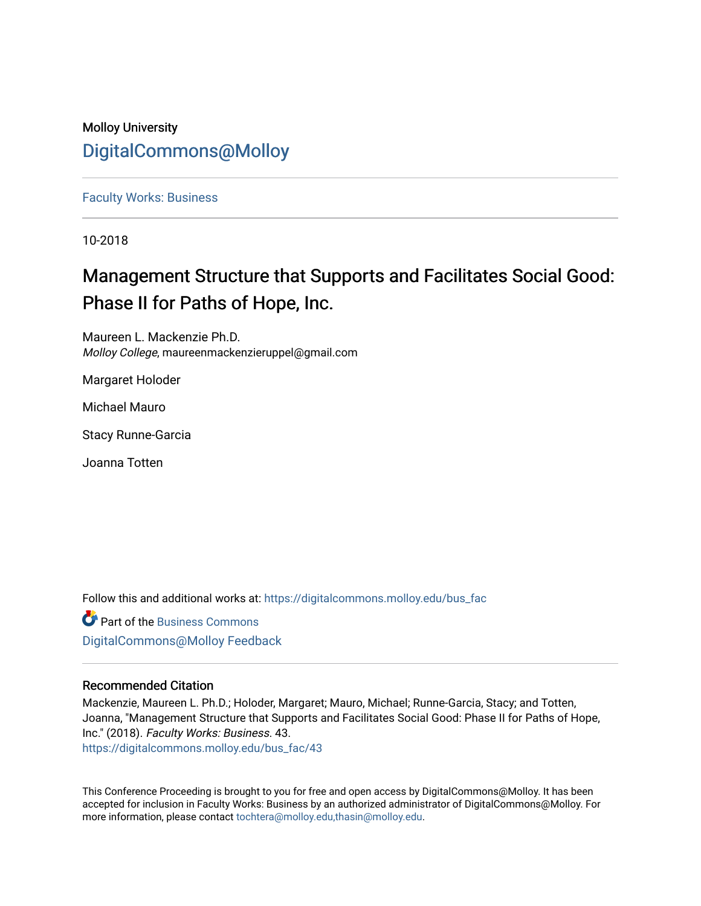## Molloy University [DigitalCommons@Molloy](https://digitalcommons.molloy.edu/)

[Faculty Works: Business](https://digitalcommons.molloy.edu/bus_fac) 

10-2018

# Management Structure that Supports and Facilitates Social Good: Phase II for Paths of Hope, Inc.

Maureen L. Mackenzie Ph.D. Molloy College, maureenmackenzieruppel@gmail.com

Margaret Holoder

Michael Mauro

Stacy Runne-Garcia

Joanna Totten

Follow this and additional works at: [https://digitalcommons.molloy.edu/bus\\_fac](https://digitalcommons.molloy.edu/bus_fac?utm_source=digitalcommons.molloy.edu%2Fbus_fac%2F43&utm_medium=PDF&utm_campaign=PDFCoverPages)

**C** Part of the [Business Commons](https://network.bepress.com/hgg/discipline/622?utm_source=digitalcommons.molloy.edu%2Fbus_fac%2F43&utm_medium=PDF&utm_campaign=PDFCoverPages) [DigitalCommons@Molloy Feedback](https://molloy.libwizard.com/f/dcfeedback)

### Recommended Citation

Mackenzie, Maureen L. Ph.D.; Holoder, Margaret; Mauro, Michael; Runne-Garcia, Stacy; and Totten, Joanna, "Management Structure that Supports and Facilitates Social Good: Phase II for Paths of Hope, Inc." (2018). Faculty Works: Business. 43. [https://digitalcommons.molloy.edu/bus\\_fac/43](https://digitalcommons.molloy.edu/bus_fac/43?utm_source=digitalcommons.molloy.edu%2Fbus_fac%2F43&utm_medium=PDF&utm_campaign=PDFCoverPages) 

This Conference Proceeding is brought to you for free and open access by DigitalCommons@Molloy. It has been accepted for inclusion in Faculty Works: Business by an authorized administrator of DigitalCommons@Molloy. For more information, please contact [tochtera@molloy.edu,thasin@molloy.edu.](mailto:tochtera@molloy.edu,thasin@molloy.edu)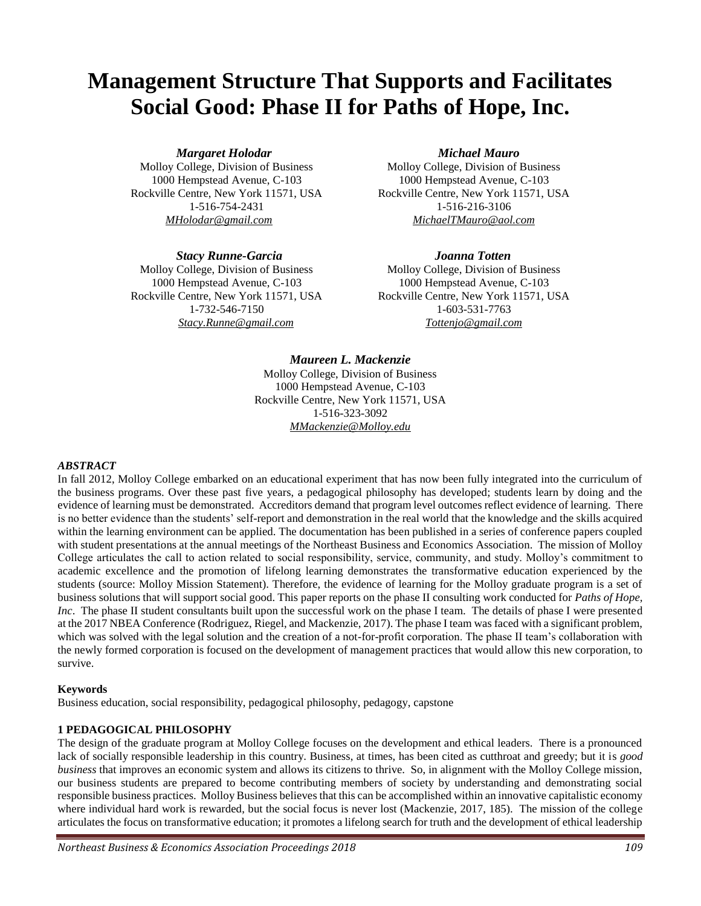# **Management Structure That Supports and Facilitates Social Good: Phase II for Paths of Hope, Inc.**

#### *Margaret Holodar* Michael Mauro

Molloy College, Division of Business Molloy College, Division of Business Rockville Centre, New York 11571, USA Rockville Centre, New York 11571, USA 1-516-754-2431 1-516-216-3106

#### *Stacy Runne-Garcia Joanna Totten*

Molloy College, Division of Business Molloy College, Division of Business

1000 Hempstead Avenue, C-103 1000 Hempstead Avenue, C-103 *MHolodar@gmail.com MichaelTMauro@aol.com*

1000 Hempstead Avenue, C-103 1000 Hempstead Avenue, C-103 Rockville Centre, New York 11571, USA Rockville Centre, New York 11571, USA 1-732-546-7150 1-603-531-7763 *Stacy.Runne@gmail.com Tottenjo@gmail.com*

### *Maureen L. Mackenzie*

Molloy College, Division of Business 1000 Hempstead Avenue, C-103 Rockville Centre, New York 11571, USA 1-516-323-3092 *MMackenzie@Molloy.edu*

#### *ABSTRACT*

In fall 2012, Molloy College embarked on an educational experiment that has now been fully integrated into the curriculum of the business programs. Over these past five years, a pedagogical philosophy has developed; students learn by doing and the evidence of learning must be demonstrated. Accreditors demand that program level outcomes reflect evidence of learning. There is no better evidence than the students' self-report and demonstration in the real world that the knowledge and the skills acquired within the learning environment can be applied. The documentation has been published in a series of conference papers coupled with student presentations at the annual meetings of the Northeast Business and Economics Association. The mission of Molloy College articulates the call to action related to social responsibility, service, community, and study. Molloy's commitment to academic excellence and the promotion of lifelong learning demonstrates the transformative education experienced by the students (source: Molloy Mission Statement). Therefore, the evidence of learning for the Molloy graduate program is a set of business solutions that will support social good. This paper reports on the phase II consulting work conducted for *Paths of Hope, Inc*. The phase II student consultants built upon the successful work on the phase I team. The details of phase I were presented at the 2017 NBEA Conference (Rodriguez, Riegel, and Mackenzie, 2017). The phase I team was faced with a significant problem, which was solved with the legal solution and the creation of a not-for-profit corporation. The phase II team's collaboration with the newly formed corporation is focused on the development of management practices that would allow this new corporation, to survive.

#### **Keywords**

Business education, social responsibility, pedagogical philosophy, pedagogy, capstone

#### **1 PEDAGOGICAL PHILOSOPHY**

The design of the graduate program at Molloy College focuses on the development and ethical leaders. There is a pronounced lack of socially responsible leadership in this country. Business, at times, has been cited as cutthroat and greedy; but it is *good business* that improves an economic system and allows its citizens to thrive. So, in alignment with the Molloy College mission, our business students are prepared to become contributing members of society by understanding and demonstrating social responsible business practices. Molloy Business believes that this can be accomplished within an innovative capitalistic economy where individual hard work is rewarded, but the social focus is never lost (Mackenzie, 2017, 185). The mission of the college articulates the focus on transformative education; it promotes a lifelong search for truth and the development of ethical leadership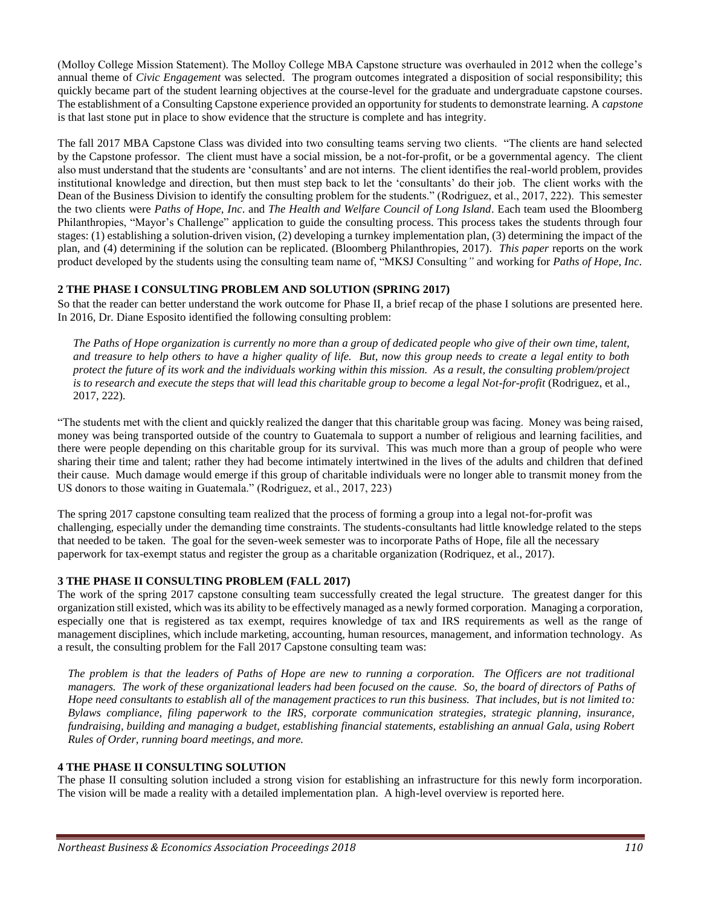(Molloy College Mission Statement). The Molloy College MBA Capstone structure was overhauled in 2012 when the college's annual theme of *Civic Engagement* was selected. The program outcomes integrated a disposition of social responsibility; this quickly became part of the student learning objectives at the course-level for the graduate and undergraduate capstone courses. The establishment of a Consulting Capstone experience provided an opportunity for students to demonstrate learning. A *capstone* is that last stone put in place to show evidence that the structure is complete and has integrity.

The fall 2017 MBA Capstone Class was divided into two consulting teams serving two clients. "The clients are hand selected by the Capstone professor. The client must have a social mission, be a not-for-profit, or be a governmental agency. The client also must understand that the students are 'consultants' and are not interns. The client identifies the real-world problem, provides institutional knowledge and direction, but then must step back to let the 'consultants' do their job. The client works with the Dean of the Business Division to identify the consulting problem for the students." (Rodriguez, et al., 2017, 222). This semester the two clients were *Paths of Hope, Inc*. and *The Health and Welfare Council of Long Island*. Each team used the Bloomberg Philanthropies, "Mayor's Challenge" application to guide the consulting process. This process takes the students through four stages: (1) establishing a solution-driven vision, (2) developing a turnkey implementation plan, (3) determining the impact of the plan, and (4) determining if the solution can be replicated. (Bloomberg Philanthropies, 2017). *This paper* reports on the work product developed by the students using the consulting team name of, "MKSJ Consulting*"* and working for *Paths of Hope, Inc*.

#### **2 THE PHASE I CONSULTING PROBLEM AND SOLUTION (SPRING 2017)**

So that the reader can better understand the work outcome for Phase II, a brief recap of the phase I solutions are presented here. In 2016, Dr. Diane Esposito identified the following consulting problem:

*The Paths of Hope organization is currently no more than a group of dedicated people who give of their own time, talent, and treasure to help others to have a higher quality of life. But, now this group needs to create a legal entity to both protect the future of its work and the individuals working within this mission. As a result, the consulting problem/project is to research and execute the steps that will lead this charitable group to become a legal Not-for-profit* (Rodriguez, et al., 2017, 222)*.* 

"The students met with the client and quickly realized the danger that this charitable group was facing. Money was being raised, money was being transported outside of the country to Guatemala to support a number of religious and learning facilities, and there were people depending on this charitable group for its survival. This was much more than a group of people who were sharing their time and talent; rather they had become intimately intertwined in the lives of the adults and children that defined their cause. Much damage would emerge if this group of charitable individuals were no longer able to transmit money from the US donors to those waiting in Guatemala." (Rodriguez, et al., 2017, 223)

The spring 2017 capstone consulting team realized that the process of forming a group into a legal not-for-profit was challenging, especially under the demanding time constraints. The students-consultants had little knowledge related to the steps that needed to be taken. The goal for the seven-week semester was to incorporate Paths of Hope, file all the necessary paperwork for tax-exempt status and register the group as a charitable organization (Rodriquez, et al., 2017).

#### **3 THE PHASE II CONSULTING PROBLEM (FALL 2017)**

The work of the spring 2017 capstone consulting team successfully created the legal structure. The greatest danger for this organization still existed, which was its ability to be effectively managed as a newly formed corporation. Managing a corporation, especially one that is registered as tax exempt, requires knowledge of tax and IRS requirements as well as the range of management disciplines, which include marketing, accounting, human resources, management, and information technology. As a result, the consulting problem for the Fall 2017 Capstone consulting team was:

*The problem is that the leaders of Paths of Hope are new to running a corporation. The Officers are not traditional managers. The work of these organizational leaders had been focused on the cause. So, the board of directors of Paths of Hope need consultants to establish all of the management practices to run this business. That includes, but is not limited to: Bylaws compliance, filing paperwork to the IRS, corporate communication strategies, strategic planning, insurance, fundraising, building and managing a budget, establishing financial statements, establishing an annual Gala, using Robert Rules of Order, running board meetings, and more.*

#### **4 THE PHASE II CONSULTING SOLUTION**

The phase II consulting solution included a strong vision for establishing an infrastructure for this newly form incorporation. The vision will be made a reality with a detailed implementation plan. A high-level overview is reported here.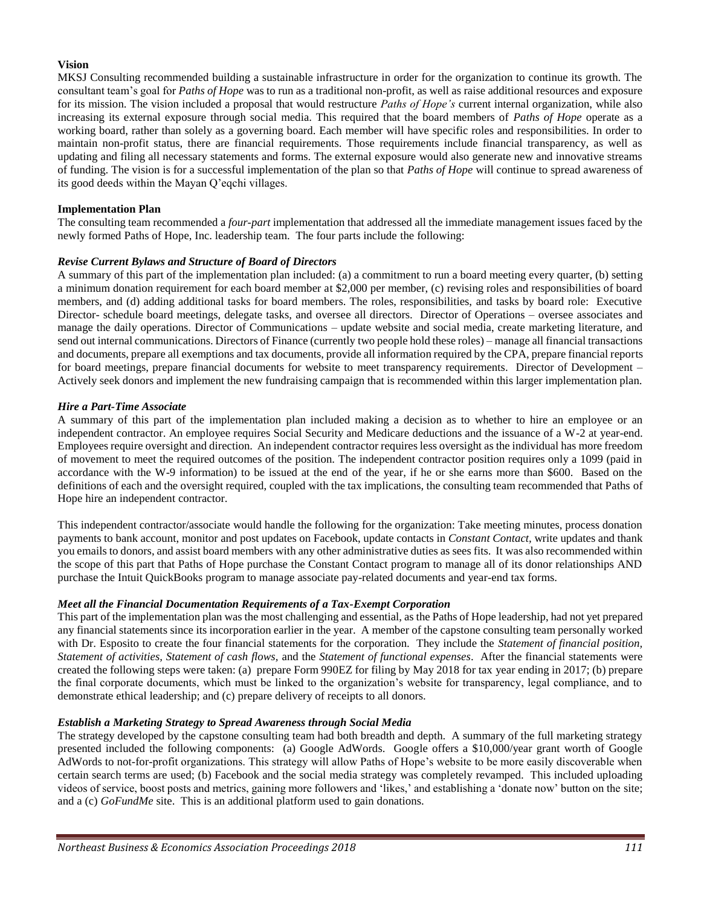#### **Vision**

MKSJ Consulting recommended building a sustainable infrastructure in order for the organization to continue its growth. The consultant team's goal for *Paths of Hope* was to run as a traditional non-profit, as well as raise additional resources and exposure for its mission. The vision included a proposal that would restructure *Paths of Hope's* current internal organization, while also increasing its external exposure through social media. This required that the board members of *Paths of Hope* operate as a working board, rather than solely as a governing board. Each member will have specific roles and responsibilities. In order to maintain non-profit status, there are financial requirements. Those requirements include financial transparency, as well as updating and filing all necessary statements and forms. The external exposure would also generate new and innovative streams of funding. The vision is for a successful implementation of the plan so that *Paths of Hope* will continue to spread awareness of its good deeds within the Mayan Q'eqchi villages.

#### **Implementation Plan**

The consulting team recommended a *four-part* implementation that addressed all the immediate management issues faced by the newly formed Paths of Hope, Inc. leadership team. The four parts include the following:

#### *Revise Current Bylaws and Structure of Board of Directors*

A summary of this part of the implementation plan included: (a) a commitment to run a board meeting every quarter, (b) setting a minimum donation requirement for each board member at \$2,000 per member, (c) revising roles and responsibilities of board members, and (d) adding additional tasks for board members. The roles, responsibilities, and tasks by board role: Executive Director- schedule board meetings, delegate tasks, and oversee all directors. Director of Operations – oversee associates and manage the daily operations. Director of Communications – update website and social media, create marketing literature, and send out internal communications. Directors of Finance (currently two people hold these roles) – manage all financial transactions and documents, prepare all exemptions and tax documents, provide all information required by the CPA, prepare financial reports for board meetings, prepare financial documents for website to meet transparency requirements. Director of Development – Actively seek donors and implement the new fundraising campaign that is recommended within this larger implementation plan.

#### *Hire a Part-Time Associate*

A summary of this part of the implementation plan included making a decision as to whether to hire an employee or an independent contractor. An employee requires Social Security and Medicare deductions and the issuance of a W-2 at year-end. Employees require oversight and direction. An independent contractor requires less oversight as the individual has more freedom of movement to meet the required outcomes of the position. The independent contractor position requires only a 1099 (paid in accordance with the W-9 information) to be issued at the end of the year, if he or she earns more than \$600. Based on the definitions of each and the oversight required, coupled with the tax implications, the consulting team recommended that Paths of Hope hire an independent contractor.

This independent contractor/associate would handle the following for the organization: Take meeting minutes, process donation payments to bank account, monitor and post updates on Facebook, update contacts in *Constant Contact,* write updates and thank you emails to donors, and assist board members with any other administrative duties as sees fits. It was also recommended within the scope of this part that Paths of Hope purchase the Constant Contact program to manage all of its donor relationships AND purchase the Intuit QuickBooks program to manage associate pay-related documents and year-end tax forms.

#### *Meet all the Financial Documentation Requirements of a Tax-Exempt Corporation*

This part of the implementation plan was the most challenging and essential, as the Paths of Hope leadership, had not yet prepared any financial statements since its incorporation earlier in the year. A member of the capstone consulting team personally worked with Dr. Esposito to create the four financial statements for the corporation. They include the *Statement of financial position*, *Statement of activities, Statement of cash flows,* and the *Statement of functional expenses*. After the financial statements were created the following steps were taken: (a) prepare Form 990EZ for filing by May 2018 for tax year ending in 2017; (b) prepare the final corporate documents, which must be linked to the organization's website for transparency, legal compliance, and to demonstrate ethical leadership; and (c) prepare delivery of receipts to all donors.

#### *Establish a Marketing Strategy to Spread Awareness through Social Media*

The strategy developed by the capstone consulting team had both breadth and depth. A summary of the full marketing strategy presented included the following components: (a) Google AdWords. Google offers a \$10,000/year grant worth of Google AdWords to not-for-profit organizations. This strategy will allow Paths of Hope's website to be more easily discoverable when certain search terms are used; (b) Facebook and the social media strategy was completely revamped. This included uploading videos of service, boost posts and metrics, gaining more followers and 'likes,' and establishing a 'donate now' button on the site; and a (c) *GoFundMe* site. This is an additional platform used to gain donations.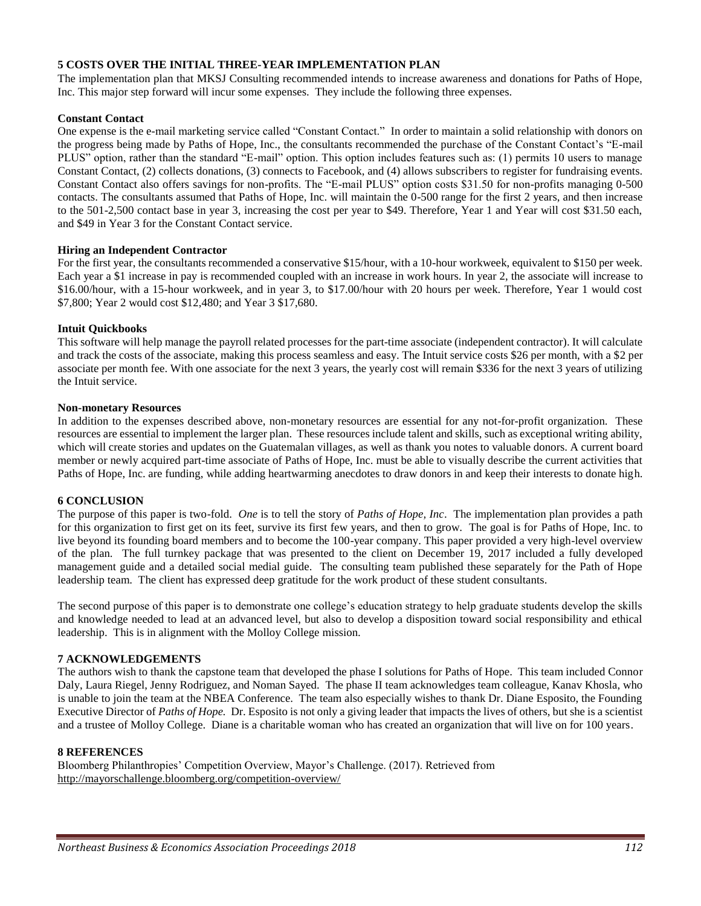#### **5 COSTS OVER THE INITIAL THREE-YEAR IMPLEMENTATION PLAN**

The implementation plan that MKSJ Consulting recommended intends to increase awareness and donations for Paths of Hope, Inc. This major step forward will incur some expenses. They include the following three expenses.

#### **Constant Contact**

One expense is the e-mail marketing service called "Constant Contact." In order to maintain a solid relationship with donors on the progress being made by Paths of Hope, Inc., the consultants recommended the purchase of the Constant Contact's "E-mail PLUS" option, rather than the standard "E-mail" option. This option includes features such as: (1) permits 10 users to manage Constant Contact, (2) collects donations, (3) connects to Facebook, and (4) allows subscribers to register for fundraising events. Constant Contact also offers savings for non-profits. The "E-mail PLUS" option costs \$31.50 for non-profits managing 0-500 contacts. The consultants assumed that Paths of Hope, Inc. will maintain the 0-500 range for the first 2 years, and then increase to the 501-2,500 contact base in year 3, increasing the cost per year to \$49. Therefore, Year 1 and Year will cost \$31.50 each, and \$49 in Year 3 for the Constant Contact service.

#### **Hiring an Independent Contractor**

For the first year, the consultants recommended a conservative \$15/hour, with a 10-hour workweek, equivalent to \$150 per week. Each year a \$1 increase in pay is recommended coupled with an increase in work hours. In year 2, the associate will increase to \$16.00/hour, with a 15-hour workweek, and in year 3, to \$17.00/hour with 20 hours per week. Therefore, Year 1 would cost \$7,800; Year 2 would cost \$12,480; and Year 3 \$17,680.

#### **Intuit Quickbooks**

This software will help manage the payroll related processes for the part-time associate (independent contractor). It will calculate and track the costs of the associate, making this process seamless and easy. The Intuit service costs \$26 per month, with a \$2 per associate per month fee. With one associate for the next 3 years, the yearly cost will remain \$336 for the next 3 years of utilizing the Intuit service.

#### **Non-monetary Resources**

In addition to the expenses described above, non-monetary resources are essential for any not-for-profit organization. These resources are essential to implement the larger plan. These resources include talent and skills, such as exceptional writing ability, which will create stories and updates on the Guatemalan villages, as well as thank you notes to valuable donors. A current board member or newly acquired part-time associate of Paths of Hope, Inc. must be able to visually describe the current activities that Paths of Hope, Inc. are funding, while adding heartwarming anecdotes to draw donors in and keep their interests to donate high.

#### **6 CONCLUSION**

The purpose of this paper is two-fold. *One* is to tell the story of *Paths of Hope, Inc*. The implementation plan provides a path for this organization to first get on its feet, survive its first few years, and then to grow. The goal is for Paths of Hope, Inc. to live beyond its founding board members and to become the 100-year company. This paper provided a very high-level overview of the plan. The full turnkey package that was presented to the client on December 19, 2017 included a fully developed management guide and a detailed social medial guide. The consulting team published these separately for the Path of Hope leadership team. The client has expressed deep gratitude for the work product of these student consultants.

The second purpose of this paper is to demonstrate one college's education strategy to help graduate students develop the skills and knowledge needed to lead at an advanced level, but also to develop a disposition toward social responsibility and ethical leadership. This is in alignment with the Molloy College mission.

#### **7 ACKNOWLEDGEMENTS**

The authors wish to thank the capstone team that developed the phase I solutions for Paths of Hope. This team included Connor Daly, Laura Riegel, Jenny Rodriguez, and Noman Sayed. The phase II team acknowledges team colleague, Kanav Khosla, who is unable to join the team at the NBEA Conference. The team also especially wishes to thank Dr. Diane Esposito, the Founding Executive Director of *Paths of Hope.* Dr. Esposito is not only a giving leader that impacts the lives of others, but she is a scientist and a trustee of Molloy College. Diane is a charitable woman who has created an organization that will live on for 100 years.

#### **8 REFERENCES**

Bloomberg Philanthropies' Competition Overview, Mayor's Challenge. (2017). Retrieved from http://mayorschallenge.bloomberg.org/competition-overview/